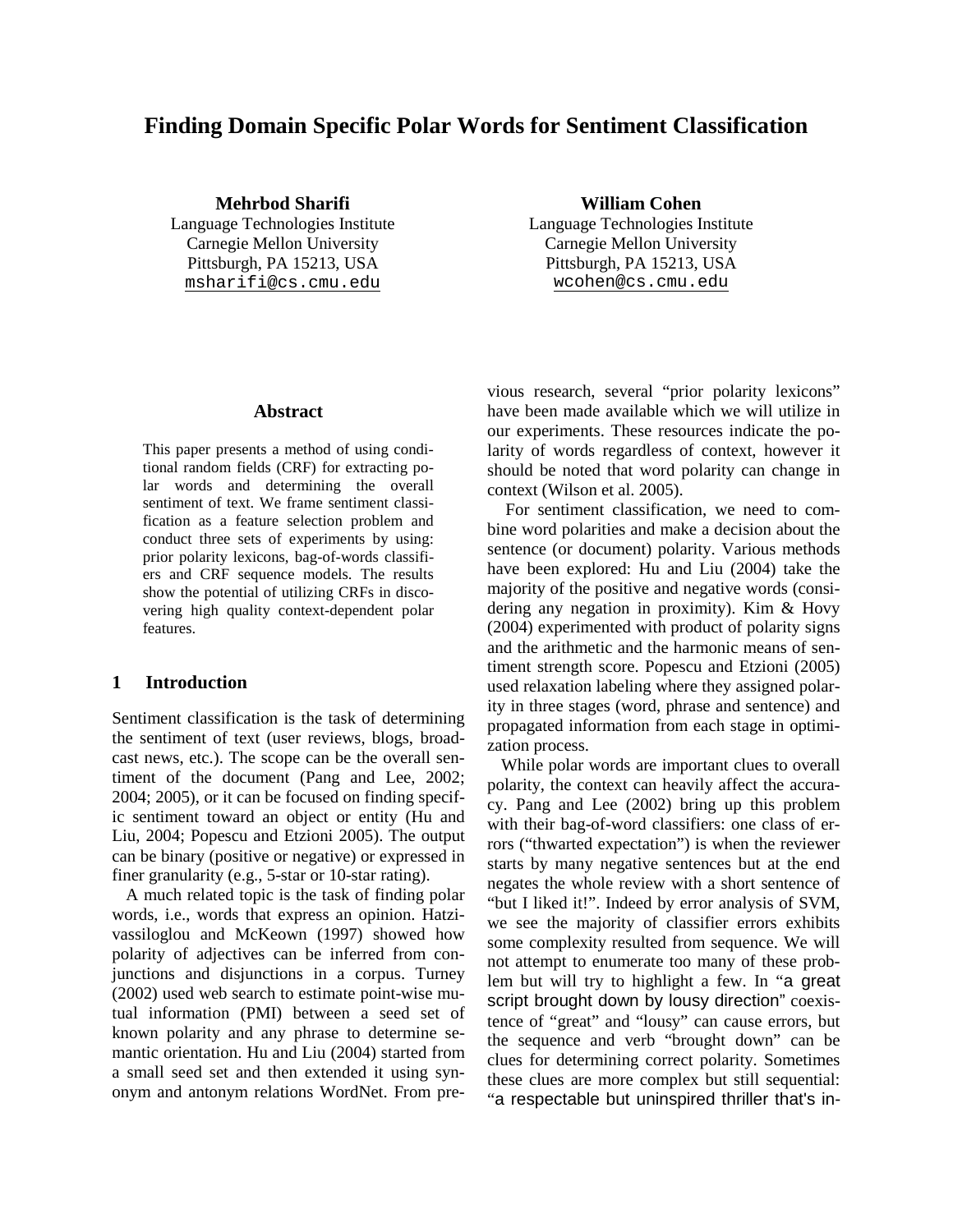# **Finding Domain Specific Polar Words for Sentiment Classification**

**Mehrbod Sharifi William Cohen** Language Technologies Institute Language Technologies Institute Carnegie Mellon University Carnegie Mellon University Pittsburgh, PA 15213, USA Pittsburgh, PA 15213, USA

**Abstract** 

This paper presents a method of using conditional random fields (CRF) for extracting polar words and determining the overall sentiment of text. We frame sentiment classification as a feature selection problem and conduct three sets of experiments by using: prior polarity lexicons, bag-of-words classifiers and CRF sequence models. The results show the potential of utilizing CRFs in discovering high quality context-dependent polar features.

#### **1 Introduction**

Sentiment classification is the task of determining the sentiment of text (user reviews, blogs, broadcast news, etc.). The scope can be the overall sentiment of the document (Pang and Lee, 2002; 2004; 2005), or it can be focused on finding specific sentiment toward an object or entity (Hu and Liu, 2004; Popescu and Etzioni 2005). The output can be binary (positive or negative) or expressed in finer granularity (e.g., 5-star or 10-star rating).

A much related topic is the task of finding polar words, i.e., words that express an opinion. Hatzivassiloglou and McKeown (1997) showed how polarity of adjectives can be inferred from conjunctions and disjunctions in a corpus. Turney (2002) used web search to estimate point-wise mutual information (PMI) between a seed set of known polarity and any phrase to determine semantic orientation. Hu and Liu (2004) started from a small seed set and then extended it using synonym and antonym relations WordNet. From pre-

[msharifi@cs.cmu.edu](mailto:msharifi@cs.cmu.edu) [wcohen@cs.cmu.edu](mailto:wcohen@cs.cmu.edu)

vious research, several "prior polarity lexicons" have been made available which we will utilize in our experiments. These resources indicate the polarity of words regardless of context, however it should be noted that word polarity can change in context (Wilson et al. 2005).

 For sentiment classification, we need to combine word polarities and make a decision about the sentence (or document) polarity. Various methods have been explored: Hu and Liu (2004) take the majority of the positive and negative words (considering any negation in proximity). Kim & Hovy (2004) experimented with product of polarity signs and the arithmetic and the harmonic means of sentiment strength score. Popescu and Etzioni (2005) used relaxation labeling where they assigned polarity in three stages (word, phrase and sentence) and propagated information from each stage in optimization process.

While polar words are important clues to overall polarity, the context can heavily affect the accuracy. Pang and Lee (2002) bring up this problem with their bag-of-word classifiers: one class of errors ("thwarted expectation") is when the reviewer starts by many negative sentences but at the end negates the whole review with a short sentence of "but I liked it!". Indeed by error analysis of SVM, we see the majority of classifier errors exhibits some complexity resulted from sequence. We will not attempt to enumerate too many of these problem but will try to highlight a few. In "a great script brought down by lousy direction" coexistence of "great" and "lousy" can cause errors, but the sequence and verb "brought down" can be clues for determining correct polarity. Sometimes these clues are more complex but still sequential: "a respectable but uninspired thriller that's in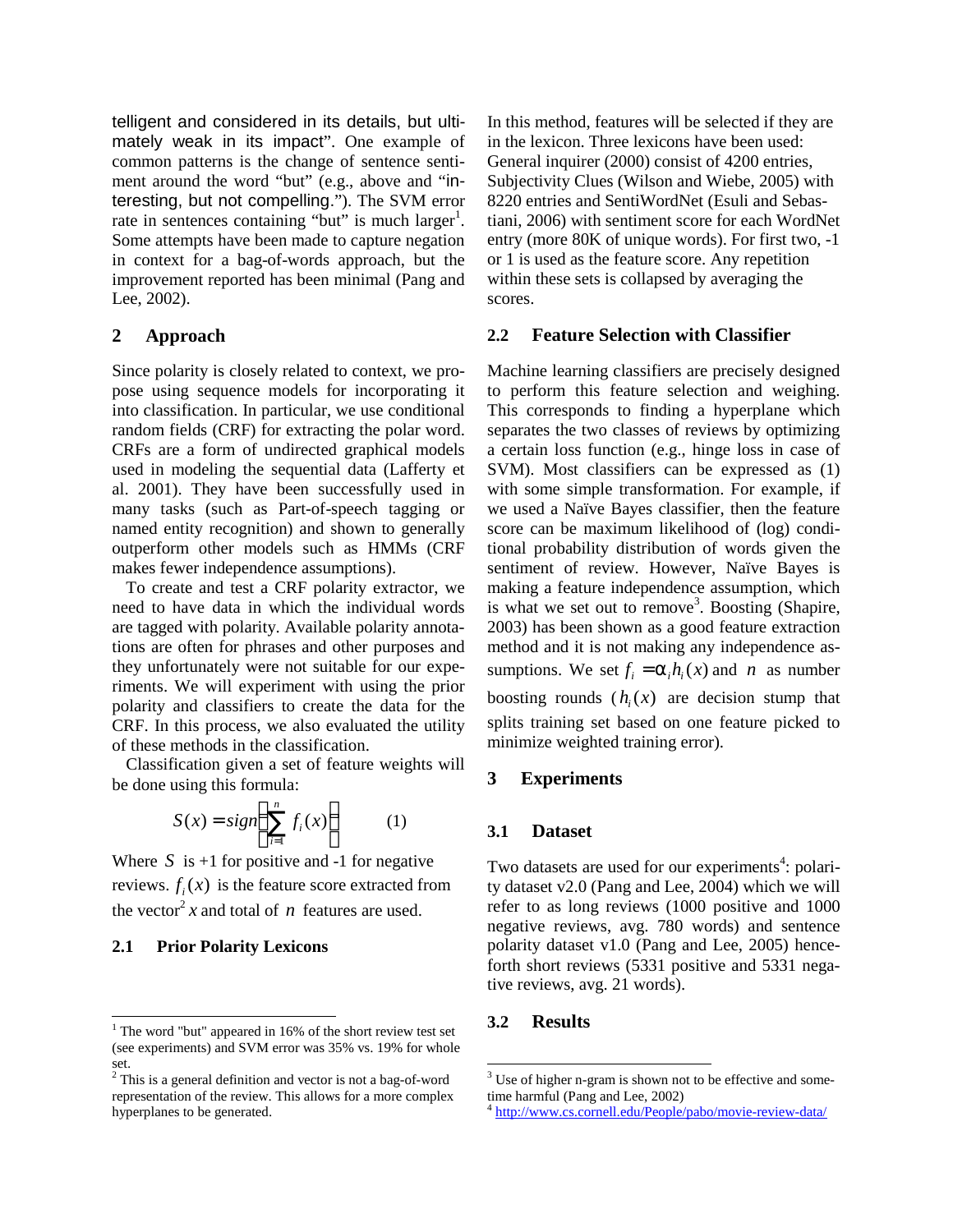telligent and considered in its details, but ultimately weak in its impact". One example of common patterns is the change of sentence sentiment around the word "but" (e.g., above and "interesting, but not compelling."). The SVM error rate in sentences containing "but" is much  $larger<sup>1</sup>$ . Some attempts have been made to capture negation in context for a bag-of-words approach, but the improvement reported has been minimal (Pang and Lee, 2002).

### **2 Approach**

Since polarity is closely related to context, we propose using sequence models for incorporating it into classification. In particular, we use conditional random fields (CRF) for extracting the polar word. CRFs are a form of undirected graphical models used in modeling the sequential data (Lafferty et al. 2001). They have been successfully used in many tasks (such as Part-of-speech tagging or named entity recognition) and shown to generally outperform other models such as HMMs (CRF makes fewer independence assumptions).

To create and test a CRF polarity extractor, we need to have data in which the individual words are tagged with polarity. Available polarity annotations are often for phrases and other purposes and they unfortunately were not suitable for our experiments. We will experiment with using the prior polarity and classifiers to create the data for the CRF. In this process, we also evaluated the utility of these methods in the classification.

Classification given a set of feature weights will be done using this formula:

$$
S(x) = sign\left(\sum_{i=1}^{n} f_i(x)\right) \tag{1}
$$

Where  $S$  is  $+1$  for positive and  $-1$  for negative reviews.  $f_i(x)$  is the feature score extracted from the vector<sup>2</sup> x and total of *n* features are used.

#### **2.1 Prior Polarity Lexicons**

 $\overline{\phantom{a}}$ 

In this method, features will be selected if they are in the lexicon. Three lexicons have been used: General inquirer (2000) consist of 4200 entries, Subjectivity Clues (Wilson and Wiebe, 2005) with 8220 entries and SentiWordNet (Esuli and Sebastiani, 2006) with sentiment score for each WordNet entry (more 80K of unique words). For first two, -1 or 1 is used as the feature score. Any repetition within these sets is collapsed by averaging the scores.

### **2.2 Feature Selection with Classifier**

Machine learning classifiers are precisely designed to perform this feature selection and weighing. This corresponds to finding a hyperplane which separates the two classes of reviews by optimizing a certain loss function (e.g., hinge loss in case of SVM). Most classifiers can be expressed as (1) with some simple transformation. For example, if we used a Naïve Bayes classifier, then the feature score can be maximum likelihood of (log) conditional probability distribution of words given the sentiment of review. However, Naïve Bayes is making a feature independence assumption, which is what we set out to remove<sup>3</sup>. Boosting (Shapire, 2003) has been shown as a good feature extraction method and it is not making any independence assumptions. We set  $f_i = a_i h_i(x)$  and *n* as number boosting rounds  $(h_i(x))$  are decision stump that splits training set based on one feature picked to minimize weighted training error).

## **3 Experiments**

## **3.1 Dataset**

Two datasets are used for our experiments<sup>4</sup>: polarity dataset v2.0 (Pang and Lee, 2004) which we will refer to as long reviews (1000 positive and 1000 negative reviews, avg. 780 words) and sentence polarity dataset v1.0 (Pang and Lee, 2005) henceforth short reviews (5331 positive and 5331 negative reviews, avg. 21 words).

## **3.2 Results**

 $\overline{a}$ 

 $<sup>1</sup>$  The word "but" appeared in 16% of the short review test set</sup> (see experiments) and SVM error was 35% vs. 19% for whole set.

 $2$ <sup>2</sup> This is a general definition and vector is not a bag-of-word representation of the review. This allows for a more complex hyperplanes to be generated.

 $3$  Use of higher n-gram is shown not to be effective and sometime harmful (Pang and Lee, 2002)

<sup>4</sup> <http://www.cs.cornell.edu/People/pabo/movie-review-data/>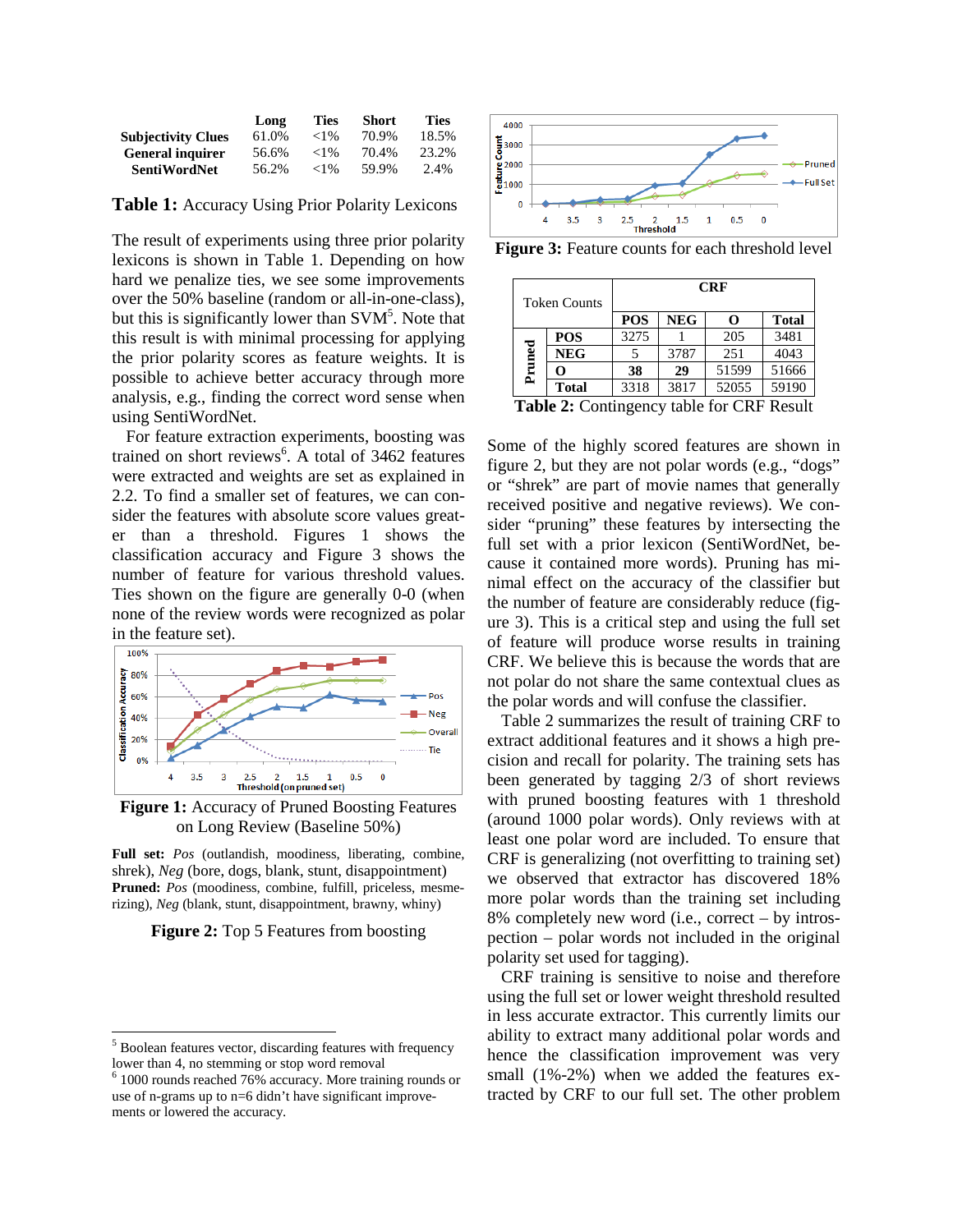|                           | Long  | Ties     | <b>Short</b> | <b>Ties</b> |
|---------------------------|-------|----------|--------------|-------------|
| <b>Subjectivity Clues</b> | 61.0% | ${<}1\%$ | 70.9%        | 18.5%       |
| <b>General inquirer</b>   | 56.6% | ${<}1\%$ | 70.4%        | 23.2%       |
| <b>SentiWordNet</b>       | 56.2% | ${<}1\%$ | 59.9%        | 2.4%        |

**Table 1:** Accuracy Using Prior Polarity Lexicons

The result of experiments using three prior polarity lexicons is shown in Table 1. Depending on how hard we penalize ties, we see some improvements over the 50% baseline (random or all-in-one-class), but this is significantly lower than  $SVM<sup>5</sup>$ . Note that this result is with minimal processing for applying the prior polarity scores as feature weights. It is possible to achieve better accuracy through more analysis, e.g., finding the correct word sense when using SentiWordNet.

For feature extraction experiments, boosting was trained on short reviews<sup>6</sup>. A total of 3462 features were extracted and weights are set as explained in 2.2. To find a smaller set of features, we can consider the features with absolute score values greater than a threshold. Figures 1 shows the classification accuracy and Figure 3 shows the number of feature for various threshold values. Ties shown on the figure are generally 0-0 (when none of the review words were recognized as polar in the feature set).



**Figure 1:** Accuracy of Pruned Boosting Features on Long Review (Baseline 50%)

**Full set:** *Pos* (outlandish, moodiness, liberating, combine, shrek), *Neg* (bore, dogs, blank, stunt, disappointment) **Pruned:** *Pos* (moodiness, combine, fulfill, priceless, mesmerizing), *Neg* (blank, stunt, disappointment, brawny, whiny)

#### **Figure 2:** Top 5 Features from boosting

-



**Figure 3:** Feature counts for each threshold level

| <b>Token Counts</b>                       |              | <b>CRF</b> |            |       |              |  |  |
|-------------------------------------------|--------------|------------|------------|-------|--------------|--|--|
|                                           |              | <b>POS</b> | <b>NEG</b> | O     | <b>Total</b> |  |  |
| Pruned                                    | <b>POS</b>   | 3275       |            | 205   | 3481         |  |  |
|                                           | <b>NEG</b>   |            | 3787       | 251   | 4043         |  |  |
|                                           | O            | 38         | 29         | 51599 | 51666        |  |  |
|                                           | <b>Total</b> | 3318       | 3817       | 52055 | 59190        |  |  |
| Table 2: Contingency toble for CDE Decult |              |            |            |       |              |  |  |

**Table 2:** Contingency table for CRF Result

Some of the highly scored features are shown in figure 2, but they are not polar words (e.g., "dogs" or "shrek" are part of movie names that generally received positive and negative reviews). We consider "pruning" these features by intersecting the full set with a prior lexicon (SentiWordNet, because it contained more words). Pruning has minimal effect on the accuracy of the classifier but the number of feature are considerably reduce (figure 3). This is a critical step and using the full set of feature will produce worse results in training CRF. We believe this is because the words that are not polar do not share the same contextual clues as the polar words and will confuse the classifier.

Table 2 summarizes the result of training CRF to extract additional features and it shows a high precision and recall for polarity. The training sets has been generated by tagging 2/3 of short reviews with pruned boosting features with 1 threshold (around 1000 polar words). Only reviews with at least one polar word are included. To ensure that CRF is generalizing (not overfitting to training set) we observed that extractor has discovered 18% more polar words than the training set including 8% completely new word (i.e., correct – by introspection – polar words not included in the original polarity set used for tagging).

CRF training is sensitive to noise and therefore using the full set or lower weight threshold resulted in less accurate extractor. This currently limits our ability to extract many additional polar words and hence the classification improvement was very small (1%-2%) when we added the features extracted by CRF to our full set. The other problem

<sup>&</sup>lt;sup>5</sup> Boolean features vector, discarding features with frequency lower than 4, no stemming or stop word removal

<sup>6</sup> 1000 rounds reached 76% accuracy. More training rounds or use of n-grams up to n=6 didn't have significant improvements or lowered the accuracy.